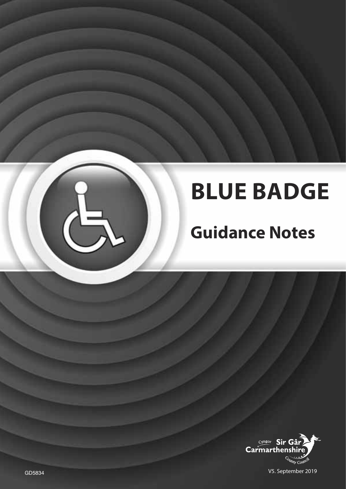# **BLUE BADGE**

## **Guidance Notes**



GD5834 V5. September 2019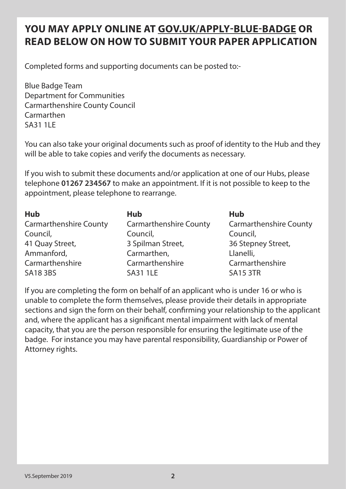### **YOU MAY APPLY ONLINE AT GOV.UK/APPLY-BLUE-BADGE OR READ BELOW ON HOW TO SUBMIT YOUR PAPER APPLICATION**

Completed forms and supporting documents can be posted to:-

Blue Badge Team Department for Communities Carmarthenshire County Council Carmarthen SA31 1LE

You can also take your original documents such as proof of identity to the Hub and they will be able to take copies and verify the documents as necessary.

If you wish to submit these documents and/or application at one of our Hubs, please telephone **01267 234567** to make an appointment. If it is not possible to keep to the appointment, please telephone to rearrange.

| <b>Hub</b>                    | <b>Hub</b>                    | <b>Hub</b>                    |
|-------------------------------|-------------------------------|-------------------------------|
| <b>Carmarthenshire County</b> | <b>Carmarthenshire County</b> | <b>Carmarthenshire County</b> |
| Council,                      | Council,                      | Council,                      |
| 41 Quay Street,               | 3 Spilman Street,             | 36 Stepney Street,            |
| Ammanford,                    | Carmarthen,                   | Llanelli,                     |
| Carmarthenshire               | Carmarthenshire               | Carmarthenshire               |
| <b>SA18 3BS</b>               | <b>SA31 1LE</b>               | <b>SA15 3TR</b>               |

If you are completing the form on behalf of an applicant who is under 16 or who is unable to complete the form themselves, please provide their details in appropriate sections and sign the form on their behalf, confirming your relationship to the applicant and, where the applicant has a significant mental impairment with lack of mental capacity, that you are the person responsible for ensuring the legitimate use of the badge. For instance you may have parental responsibility, Guardianship or Power of Attorney rights.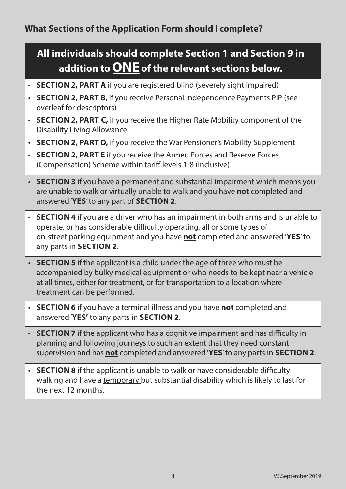## **All individuals should complete Section 1 and Section 9 in addition to ONE of the relevant sections below.**

- **SECTION 2, PART A** if you are registered blind (severely sight impaired)
- **SECTION 2, PART B**, if you receive Personal Independence Payments PIP (see overleaf for descriptors)
- **SECTION 2, PART C,** if you receive the Higher Rate Mobility component of the Disability Living Allowance
- **SECTION 2, PART D,** if you receive the War Pensioner's Mobility Supplement
- **SECTION 2, PART E** if you receive the Armed Forces and Reserve Forces (Compensation) Scheme within tariff levels 1-8 (inclusive)
- **SECTION 3** if you have a permanent and substantial impairment which means you are unable to walk or virtually unable to walk and you have **not** completed and answered '**YES**' to any part of **SECTION 2**.
- **SECTION 4** if you are a driver who has an impairment in both arms and is unable to operate, or has considerable difficulty operating, all or some types of on-street parking equipment and you have **not** completed and answered '**YES**' to any parts in **SECTION 2**.
- **SECTION 5** if the applicant is a child under the age of three who must be accompanied by bulky medical equipment or who needs to be kept near a vehicle at all times, either for treatment, or for transportation to a location where treatment can be performed.
- **SECTION 6** if you have a terminal illness and you have **not** completed and answered '**YES'** to any parts in **SECTION 2**.
- **SECTION 7** if the applicant who has a cognitive impairment and has difficulty in planning and following journeys to such an extent that they need constant supervision and has **not** completed and answered '**YES**' to any parts in **SECTION 2**.
- **SECTION 8** if the applicant is unable to walk or have considerable difficulty walking and have a temporary but substantial disability which is likely to last for the next 12 months.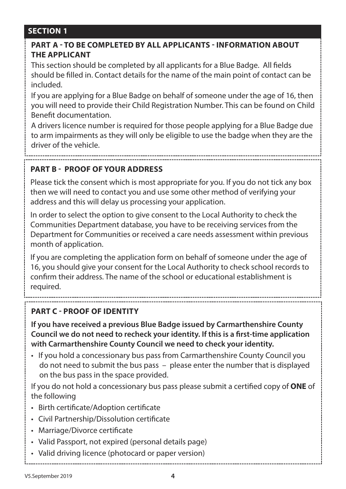#### **PART A - TO BE COMPLETED BY ALL APPLICANTS - INFORMATION ABOUT THE APPLICANT**

This section should be completed by all applicants for a Blue Badge. All fields should be filled in. Contact details for the name of the main point of contact can be included.

If you are applying for a Blue Badge on behalf of someone under the age of 16, then you will need to provide their Child Registration Number. This can be found on Child Benefit documentation.

A drivers licence number is required for those people applying for a Blue Badge due to arm impairments as they will only be eligible to use the badge when they are the driver of the vehicle.

#### **PART B - PROOF OF YOUR ADDRESS**

Please tick the consent which is most appropriate for you. If you do not tick any box then we will need to contact you and use some other method of verifying your address and this will delay us processing your application.

In order to select the option to give consent to the Local Authority to check the Communities Department database, you have to be receiving services from the Department for Communities or received a care needs assessment within previous month of application.

If you are completing the application form on behalf of someone under the age of 16, you should give your consent for the Local Authority to check school records to confirm their address. The name of the school or educational establishment is required.

#### **PART C - PROOF OF IDENTITY**

**If you have received a previous Blue Badge issued by Carmarthenshire County Council we do not need to recheck your identity. If this is a first-time application with Carmarthenshire County Council we need to check your identity.**

• If you hold a concessionary bus pass from Carmarthenshire County Council you do not need to submit the bus pass – please enter the number that is displayed on the bus pass in the space provided.

If you do not hold a concessionary bus pass please submit a certified copy of **ONE** of the following

- Birth certificate/Adoption certificate
- Civil Partnership/Dissolution certificate
- Marriage/Divorce certificate
- Valid Passport, not expired (personal details page)
- Valid driving licence (photocard or paper version)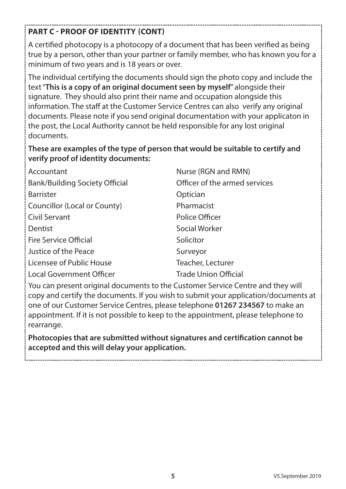#### **PART C - PROOF OF IDENTITY (CONT)**

A certified photocopy is a photocopy of a document that has been verified as being true by a person, other than your partner or family member, who has known you for a minimum of two years and is 18 years or over.

The individual certifying the documents should sign the photo copy and include the text "**This is a copy of an original document seen by myself**" alongside their signature. They should also print their name and occupation alongside this information. The staff at the Customer Service Centres can also verify any original documents. Please note if you send original documentation with your applicaton in the post, the Local Authority cannot be held responsible for any lost original documents.

#### **These are examples of the type of person that would be suitable to certify and verify proof of identity documents:**

| Accountant                            | Nurse (RGN and RMN)           |
|---------------------------------------|-------------------------------|
| <b>Bank/Building Society Official</b> | Officer of the armed services |
| <b>Barrister</b>                      | Optician                      |
| Councillor (Local or County)          | Pharmacist                    |
| <b>Civil Servant</b>                  | Police Officer                |
| Dentist                               | Social Worker                 |
| <b>Fire Service Official</b>          | Solicitor                     |
| Justice of the Peace                  | Surveyor                      |
| Licensee of Public House              | Teacher, Lecturer             |
| <b>Local Government Officer</b>       | <b>Trade Union Official</b>   |

You can present original documents to the Customer Service Centre and they will copy and certify the documents. If you wish to submit your application/documents at one of our Customer Service Centres, please telephone **01267 234567** to make an appointment. If it is not possible to keep to the appointment, please telephone to rearrange.

**Photocopies that are submitted without signatures and certification cannot be accepted and this will delay your application.**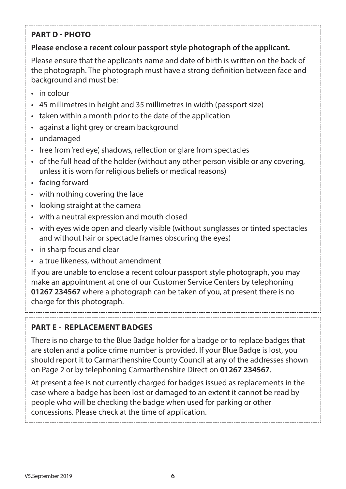#### **PART D - PHOTO**

#### **Please enclose a recent colour passport style photograph of the applicant.**

Please ensure that the applicants name and date of birth is written on the back of the photograph. The photograph must have a strong definition between face and background and must be:

- in colour
- 45 millimetres in height and 35 millimetres in width (passport size)
- taken within a month prior to the date of the application
- against a light grey or cream background
- undamaged
- free from 'red eye', shadows, reflection or glare from spectacles
- of the full head of the holder (without any other person visible or any covering, unless it is worn for religious beliefs or medical reasons)
- facing forward
- with nothing covering the face
- looking straight at the camera
- with a neutral expression and mouth closed
- with eyes wide open and clearly visible (without sunglasses or tinted spectacles and without hair or spectacle frames obscuring the eyes)
- in sharp focus and clear
- a true likeness, without amendment

If you are unable to enclose a recent colour passport style photograph, you may make an appointment at one of our Customer Service Centers by telephoning **01267 234567** where a photograph can be taken of you, at present there is no charge for this photograph.

#### **PART E - REPLACEMENT BADGES**

There is no charge to the Blue Badge holder for a badge or to replace badges that are stolen and a police crime number is provided. If your Blue Badge is lost, you should report it to Carmarthenshire County Council at any of the addresses shown on Page 2 or by telephoning Carmarthenshire Direct on **01267 234567**.

At present a fee is not currently charged for badges issued as replacements in the case where a badge has been lost or damaged to an extent it cannot be read by people who will be checking the badge when used for parking or other concessions. Please check at the time of application.

V5.September 2019 **6**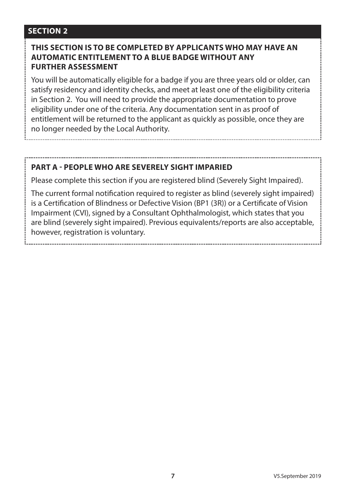#### **THIS SECTION IS TO BE COMPLETED BY APPLICANTS WHO MAY HAVE AN AUTOMATIC ENTITLEMENT TO A BLUE BADGE WITHOUT ANY FURTHER ASSESSMENT**

You will be automatically eligible for a badge if you are three years old or older, can satisfy residency and identity checks, and meet at least one of the eligibility criteria in Section 2. You will need to provide the appropriate documentation to prove eligibility under one of the criteria. Any documentation sent in as proof of entitlement will be returned to the applicant as quickly as possible, once they are no longer needed by the Local Authority.

#### **PART A - PEOPLE WHO ARE SEVERELY SIGHT IMPARIED**

Please complete this section if you are registered blind (Severely Sight Impaired).

The current formal notification required to register as blind (severely sight impaired) is a Certification of Blindness or Defective Vision (BP1 (3R)) or a Certificate of Vision Impairment (CVI), signed by a Consultant Ophthalmologist, which states that you are blind (severely sight impaired). Previous equivalents/reports are also acceptable, however, registration is voluntary.

**7** V5.September 2019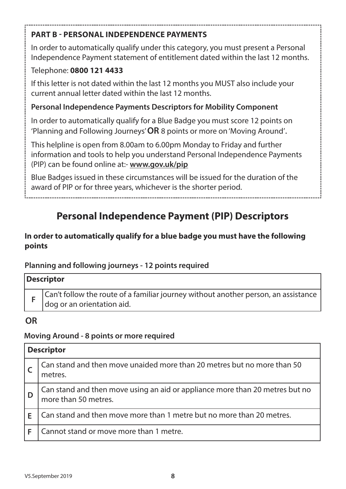#### **PART B - PERSONAL INDEPENDENCE PAYMENTS**

In order to automatically qualify under this category, you must present a Personal Independence Payment statement of entitlement dated within the last 12 months.

#### Telephone: **0800 121 4433**

If this letter is not dated within the last 12 months you MUST also include your current annual letter dated within the last 12 months.

#### **Personal Independence Payments Descriptors for Mobility Component**

In order to automatically qualify for a Blue Badge you must score 12 points on 'Planning and Following Journeys' **OR** 8 points or more on 'Moving Around'.

This helpline is open from 8.00am to 6.00pm Monday to Friday and further information and tools to help you understand Personal Independence Payments (PIP) can be found online at:- **www.gov.uk/pip**

Blue Badges issued in these circumstances will be issued for the duration of the award of PIP or for three years, whichever is the shorter period.

## **Personal Independence Payment (PIP) Descriptors**

#### **In order to automatically qualify for a blue badge you must have the following points**

#### **Planning and following journeys - 12 points required**

| <b>Descriptor</b>                                                                                                  |
|--------------------------------------------------------------------------------------------------------------------|
| Can't follow the route of a familiar journey without another person, an assistance<br>I dog or an orientation aid. |

#### **OR**

#### **Moving Around - 8 points or more required**

| <b>Descriptor</b> |                                                                                                      |  |
|-------------------|------------------------------------------------------------------------------------------------------|--|
|                   | Can stand and then move unaided more than 20 metres but no more than 50<br>metres.                   |  |
|                   | Can stand and then move using an aid or appliance more than 20 metres but no<br>more than 50 metres. |  |
|                   | Can stand and then move more than 1 metre but no more than 20 metres.                                |  |
|                   | Cannot stand or move more than 1 metre.                                                              |  |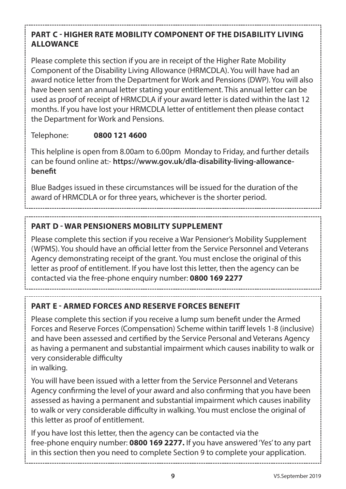#### **PART C - HIGHER RATE MOBILITY COMPONENT OF THE DISABILITY LIVING ALLOWANCE**

Please complete this section if you are in receipt of the Higher Rate Mobility Component of the Disability Living Allowance (HRMCDLA). You will have had an award notice letter from the Department for Work and Pensions (DWP). You will also have been sent an annual letter stating your entitlement. This annual letter can be used as proof of receipt of HRMCDLA if your award letter is dated within the last 12 months. If you have lost your HRMCDLA letter of entitlement then please contact the Department for Work and Pensions.

Telephone: **0800 121 4600**

This helpline is open from 8.00am to 6.00pm Monday to Friday, and further details can be found online at:- **https://www.gov.uk/dla-disability-living-allowancebenefit**

Blue Badges issued in these circumstances will be issued for the duration of the award of HRMCDLA or for three years, whichever is the shorter period.

#### **PART D - WAR PENSIONERS MOBILITY SUPPLEMENT**

Please complete this section if you receive a War Pensioner's Mobility Supplement (WPMS). You should have an official letter from the Service Personnel and Veterans Agency demonstrating receipt of the grant. You must enclose the original of this letter as proof of entitlement. If you have lost this letter, then the agency can be contacted via the free-phone enquiry number: **0800 169 2277**

**PART E - ARMED FORCES AND RESERVE FORCES BENEFIT**

Please complete this section if you receive a lump sum benefit under the Armed Forces and Reserve Forces (Compensation) Scheme within tariff levels 1-8 (inclusive) and have been assessed and certified by the Service Personal and Veterans Agency as having a permanent and substantial impairment which causes inability to walk or very considerable difficulty in walking.

You will have been issued with a letter from the Service Personnel and Veterans Agency confirming the level of your award and also confirming that you have been assessed as having a permanent and substantial impairment which causes inability to walk or very considerable difficulty in walking. You must enclose the original of this letter as proof of entitlement.

If you have lost this letter, then the agency can be contacted via the free-phone enquiry number: **0800 169 2277.** If you have answered 'Yes' to any part in this section then you need to complete Section 9 to complete your application.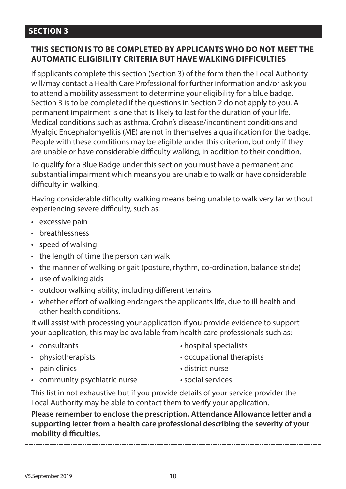#### **THIS SECTION IS TO BE COMPLETED BY APPLICANTS WHO DO NOT MEET THE AUTOMATIC ELIGIBILITY CRITERIA BUT HAVE WALKING DIFFICULTIES**

If applicants complete this section (Section 3) of the form then the Local Authority will/may contact a Health Care Professional for further information and/or ask you to attend a mobility assessment to determine your eligibility for a blue badge. Section 3 is to be completed if the questions in Section 2 do not apply to you. A permanent impairment is one that is likely to last for the duration of your life. Medical conditions such as asthma, Crohn's disease/incontinent conditions and Myalgic Encephalomyelitis (ME) are not in themselves a qualification for the badge. People with these conditions may be eligible under this criterion, but only if they are unable or have considerable difficulty walking, in addition to their condition.

To qualify for a Blue Badge under this section you must have a permanent and substantial impairment which means you are unable to walk or have considerable difficulty in walking.

Having considerable difficulty walking means being unable to walk very far without experiencing severe difficulty, such as:

- excessive pain
- breathlessness
- speed of walking
- the length of time the person can walk
- the manner of walking or gait (posture, rhythm, co-ordination, balance stride)
- use of walking aids
- outdoor walking ability, including different terrains
- whether effort of walking endangers the applicants life, due to ill health and other health conditions.

It will assist with processing your application if you provide evidence to support your application, this may be available from health care professionals such as:-

- 
- 
- pain clinics district nurse
- community psychiatric nurse social services
- consultants hospital specialists
- physiotherapists occupational therapists
	-
	-

This list in not exhaustive but if you provide details of your service provider the Local Authority may be able to contact them to verify your application.

**Please remember to enclose the prescription, Attendance Allowance letter and a supporting letter from a health care professional describing the severity of your mobility difficulties.**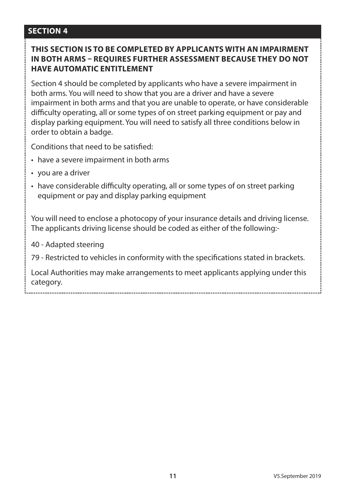#### **THIS SECTION IS TO BE COMPLETED BY APPLICANTS WITH AN IMPAIRMENT IN BOTH ARMS – REQUIRES FURTHER ASSESSMENT BECAUSE THEY DO NOT HAVE AUTOMATIC ENTITI EMENT**

Section 4 should be completed by applicants who have a severe impairment in both arms. You will need to show that you are a driver and have a severe impairment in both arms and that you are unable to operate, or have considerable difficulty operating, all or some types of on street parking equipment or pay and display parking equipment. You will need to satisfy all three conditions below in order to obtain a badge.

Conditions that need to be satisfied:

- have a severe impairment in both arms
- you are a driver
- have considerable difficulty operating, all or some types of on street parking equipment or pay and display parking equipment

You will need to enclose a photocopy of your insurance details and driving license. The applicants driving license should be coded as either of the following:-

40 - Adapted steering

79 - Restricted to vehicles in conformity with the specifications stated in brackets.

Local Authorities may make arrangements to meet applicants applying under this category.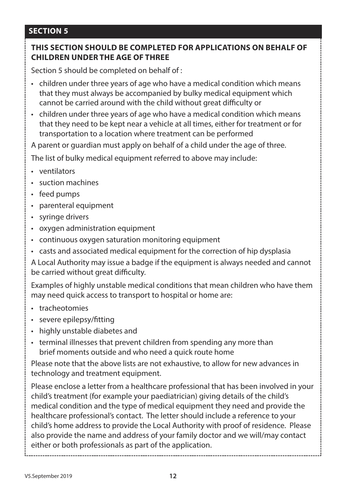#### **THIS SECTION SHOULD BE COMPLETED FOR APPLICATIONS ON BEHALF OF CHILDREN UNDER THE AGE OF THREE**

Section 5 should be completed on behalf of :

- children under three years of age who have a medical condition which means that they must always be accompanied by bulky medical equipment which cannot be carried around with the child without great difficulty or
- children under three years of age who have a medical condition which means that they need to be kept near a vehicle at all times, either for treatment or for transportation to a location where treatment can be performed

A parent or guardian must apply on behalf of a child under the age of three.

The list of bulky medical equipment referred to above may include:

- ventilators
- suction machines
- feed pumps
- parenteral equipment
- syringe drivers
- oxygen administration equipment
- continuous oxygen saturation monitoring equipment
- casts and associated medical equipment for the correction of hip dysplasia

A Local Authority may issue a badge if the equipment is always needed and cannot be carried without great difficulty.

Examples of highly unstable medical conditions that mean children who have them may need quick access to transport to hospital or home are:

- tracheotomies
- severe epilepsy/fitting
- highly unstable diabetes and
- terminal illnesses that prevent children from spending any more than brief moments outside and who need a quick route home

Please note that the above lists are not exhaustive, to allow for new advances in technology and treatment equipment.

Please enclose a letter from a healthcare professional that has been involved in your child's treatment (for example your paediatrician) giving details of the child's medical condition and the type of medical equipment they need and provide the healthcare professional's contact. The letter should include a reference to your child's home address to provide the Local Authority with proof of residence. Please also provide the name and address of your family doctor and we will/may contact either or both professionals as part of the application.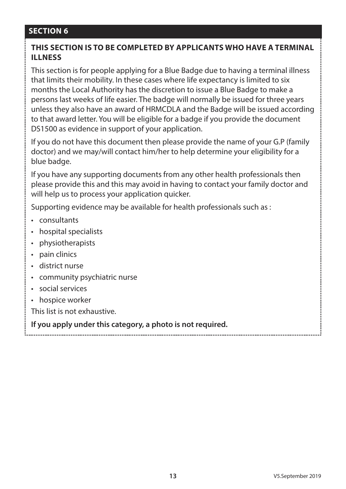#### **THIS SECTION IS TO BE COMPLETED BY APPLICANTS WHO HAVE A TERMINAL ILLNESS**

This section is for people applying for a Blue Badge due to having a terminal illness that limits their mobility. In these cases where life expectancy is limited to six months the Local Authority has the discretion to issue a Blue Badge to make a persons last weeks of life easier. The badge will normally be issued for three years unless they also have an award of HRMCDLA and the Badge will be issued according to that award letter. You will be eligible for a badge if you provide the document DS1500 as evidence in support of your application.

If you do not have this document then please provide the name of your G.P (family doctor) and we may/will contact him/her to help determine your eligibility for a blue badge.

If you have any supporting documents from any other health professionals then please provide this and this may avoid in having to contact your family doctor and will help us to process your application quicker.

Supporting evidence may be available for health professionals such as :

- consultants
- hospital specialists
- physiotherapists
- pain clinics
- district nurse
- community psychiatric nurse
- social services
- hospice worker

This list is not exhaustive.

**If you apply under this category, a photo is not required.**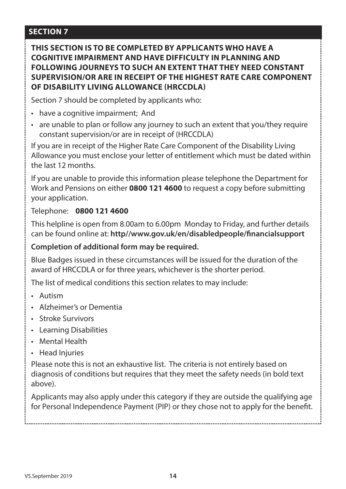**THIS SECTION IS TO BE COMPLETED BY APPLICANTS WHO HAVE A COGNITIVE IMPAIRMENT AND HAVE DIFFICULTY IN PLANNING AND FOLLOWING JOURNEYS TO SUCH AN EXTENT THAT THEY NEED CONSTANT SUPERVISION/OR ARE IN RECEIPT OF THE HIGHEST RATE CARE COMPONENT OF DISABILITY LIVING ALLOWANCE (HRCCDLA)**

Section 7 should be completed by applicants who:

- have a cognitive impairment; And
- are unable to plan or follow any journey to such an extent that you/they require constant supervision/or are in receipt of (HRCCDLA)

If you are in receipt of the Higher Rate Care Component of the Disability Living Allowance you must enclose your letter of entitlement which must be dated within the last 12 months.

If you are unable to provide this information please telephone the Department for Work and Pensions on either **0800 121 4600** to request a copy before submitting your application.

Telephone: **0800 121 4600**

This helpline is open from 8.00am to 6.00pm Monday to Friday, and further details can be found online at: **http//www.gov.uk/en/disabledpeople/financialsupport**

#### **Completion of additional form may be required.**

Blue Badges issued in these circumstances will be issued for the duration of the award of HRCCDLA or for three years, whichever is the shorter period.

The list of medical conditions this section relates to may include:

- Autism
- Alzheimer's or Dementia
- Stroke Survivors
- Learning Disabilities
- Mental Health
- Head Injuries

Please note this is not an exhaustive list. The criteria is not entirely based on diagnosis of conditions but requires that they meet the safety needs (in bold text above).

Applicants may also apply under this category if they are outside the qualifying age for Personal Independence Payment (PIP) or they chose not to apply for the benefit.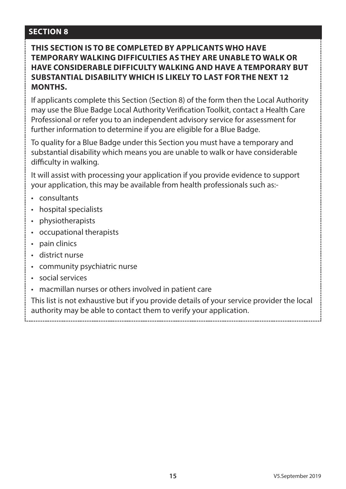#### **THIS SECTION IS TO BE COMPLETED BY APPLICANTS WHO HAVE TEMPORARY WALKING DIFFICULTIES AS THEY ARE UNABLE TO WALK OR HAVE CONSIDERABLE DIFFICULTY WALKING AND HAVE A TEMPORARY BUT SUBSTANTIAL DISABILITY WHICH IS LIKELY TO LAST FOR THE NEXT 12 MONTHS.**

If applicants complete this Section (Section 8) of the form then the Local Authority may use the Blue Badge Local Authority Verification Toolkit, contact a Health Care Professional or refer you to an independent advisory service for assessment for further information to determine if you are eligible for a Blue Badge.

To quality for a Blue Badge under this Section you must have a temporary and substantial disability which means you are unable to walk or have considerable difficulty in walking.

It will assist with processing your application if you provide evidence to support your application, this may be available from health professionals such as:-

- consultants
- hospital specialists
- physiotherapists
- occupational therapists
- pain clinics
- district nurse
- community psychiatric nurse
- social services
- macmillan nurses or others involved in patient care

This list is not exhaustive but if you provide details of your service provider the local authority may be able to contact them to verify your application.